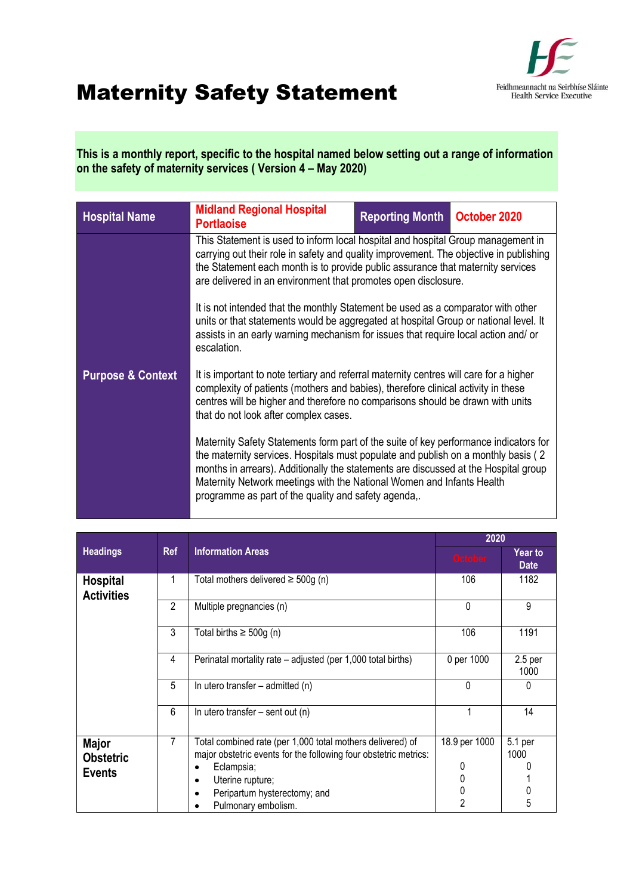

## Maternity Safety Statement

**This is a monthly report, specific to the hospital named below setting out a range of information on the safety of maternity services ( Version 4 – May 2020)** 

| <b>Hospital Name</b>         | <b>Midland Regional Hospital</b><br><b>Portlaoise</b>                                                                                                                                                                                                                                                                                                                                              | <b>Reporting Month</b>                                                                                                                                                                                                                                         | October 2020 |  |  |  |
|------------------------------|----------------------------------------------------------------------------------------------------------------------------------------------------------------------------------------------------------------------------------------------------------------------------------------------------------------------------------------------------------------------------------------------------|----------------------------------------------------------------------------------------------------------------------------------------------------------------------------------------------------------------------------------------------------------------|--------------|--|--|--|
|                              | This Statement is used to inform local hospital and hospital Group management in<br>carrying out their role in safety and quality improvement. The objective in publishing<br>the Statement each month is to provide public assurance that maternity services<br>are delivered in an environment that promotes open disclosure.                                                                    |                                                                                                                                                                                                                                                                |              |  |  |  |
|                              | escalation.                                                                                                                                                                                                                                                                                                                                                                                        | It is not intended that the monthly Statement be used as a comparator with other<br>units or that statements would be aggregated at hospital Group or national level. It<br>assists in an early warning mechanism for issues that require local action and/ or |              |  |  |  |
| <b>Purpose &amp; Context</b> | that do not look after complex cases.                                                                                                                                                                                                                                                                                                                                                              | It is important to note tertiary and referral maternity centres will care for a higher<br>complexity of patients (mothers and babies), therefore clinical activity in these<br>centres will be higher and therefore no comparisons should be drawn with units  |              |  |  |  |
|                              | Maternity Safety Statements form part of the suite of key performance indicators for<br>the maternity services. Hospitals must populate and publish on a monthly basis (2)<br>months in arrears). Additionally the statements are discussed at the Hospital group<br>Maternity Network meetings with the National Women and Infants Health<br>programme as part of the quality and safety agenda,. |                                                                                                                                                                                                                                                                |              |  |  |  |

|                                                   |                                        |                                                                                                                                                                                                                         | 2020                                           |                               |
|---------------------------------------------------|----------------------------------------|-------------------------------------------------------------------------------------------------------------------------------------------------------------------------------------------------------------------------|------------------------------------------------|-------------------------------|
| <b>Headings</b>                                   | <b>Information Areas</b><br><b>Ref</b> |                                                                                                                                                                                                                         | <b>October</b>                                 | <b>Year to</b><br><b>Date</b> |
| <b>Hospital</b><br><b>Activities</b>              |                                        | Total mothers delivered $\geq$ 500g (n)                                                                                                                                                                                 | 106                                            | 1182                          |
|                                                   | $\mathfrak{p}$                         | Multiple pregnancies (n)                                                                                                                                                                                                | 0                                              | 9                             |
|                                                   | 3                                      | Total births $\geq 500g$ (n)                                                                                                                                                                                            | 106                                            | 1191                          |
|                                                   | 4                                      | Perinatal mortality rate – adjusted (per 1,000 total births)                                                                                                                                                            | 0 per 1000                                     | 2.5 <sub>per</sub><br>1000    |
|                                                   | 5                                      | In utero transfer – admitted (n)                                                                                                                                                                                        | 0                                              | 0                             |
|                                                   | 6                                      | In utero transfer $-$ sent out (n)                                                                                                                                                                                      |                                                | 14                            |
| <b>Major</b><br><b>Obstetric</b><br><b>Events</b> | 7                                      | Total combined rate (per 1,000 total mothers delivered) of<br>major obstetric events for the following four obstetric metrics:<br>Eclampsia;<br>Uterine rupture;<br>Peripartum hysterectomy; and<br>Pulmonary embolism. | 18.9 per 1000<br>0<br>0<br>0<br>$\mathfrak{p}$ | 5.1 per<br>1000<br>5          |